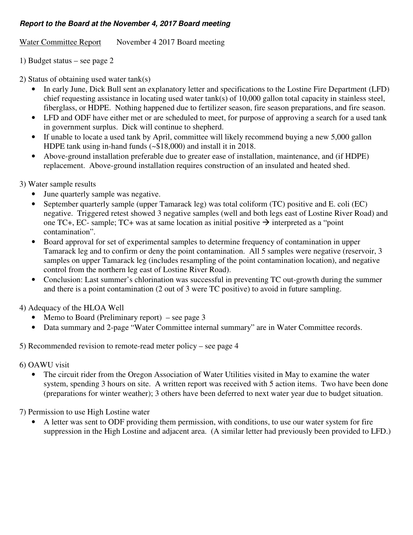## **Report to the Board at the November 4, 2017 Board meeting**

Water Committee Report November 4 2017 Board meeting

1) Budget status – see page 2

2) Status of obtaining used water tank(s)

- In early June, Dick Bull sent an explanatory letter and specifications to the Lostine Fire Department (LFD) chief requesting assistance in locating used water tank(s) of 10,000 gallon total capacity in stainless steel, fiberglass, or HDPE. Nothing happened due to fertilizer season, fire season preparations, and fire season.
- LFD and ODF have either met or are scheduled to meet, for purpose of approving a search for a used tank in government surplus. Dick will continue to shepherd.
- If unable to locate a used tank by April, committee will likely recommend buying a new 5,000 gallon HDPE tank using in-hand funds (~\$18,000) and install it in 2018.
- Above-ground installation preferable due to greater ease of installation, maintenance, and (if HDPE) replacement. Above-ground installation requires construction of an insulated and heated shed.
- 3) Water sample results
	- June quarterly sample was negative.
	- September quarterly sample (upper Tamarack leg) was total coliform (TC) positive and E. coli (EC) negative. Triggered retest showed 3 negative samples (well and both legs east of Lostine River Road) and one TC+, EC- sample; TC+ was at same location as initial positive  $\rightarrow$  interpreted as a "point" contamination".
	- Board approval for set of experimental samples to determine frequency of contamination in upper Tamarack leg and to confirm or deny the point contamination. All 5 samples were negative (reservoir, 3 samples on upper Tamarack leg (includes resampling of the point contamination location), and negative control from the northern leg east of Lostine River Road).
	- Conclusion: Last summer's chlorination was successful in preventing TC out-growth during the summer and there is a point contamination (2 out of 3 were TC positive) to avoid in future sampling.

## 4) Adequacy of the HLOA Well

- Memo to Board (Preliminary report) see page  $3$
- Data summary and 2-page "Water Committee internal summary" are in Water Committee records.
- 5) Recommended revision to remote-read meter policy see page 4
- 6) OAWU visit
	- The circuit rider from the Oregon Association of Water Utilities visited in May to examine the water system, spending 3 hours on site. A written report was received with 5 action items. Two have been done (preparations for winter weather); 3 others have been deferred to next water year due to budget situation.

7) Permission to use High Lostine water

• A letter was sent to ODF providing them permission, with conditions, to use our water system for fire suppression in the High Lostine and adjacent area. (A similar letter had previously been provided to LFD.)